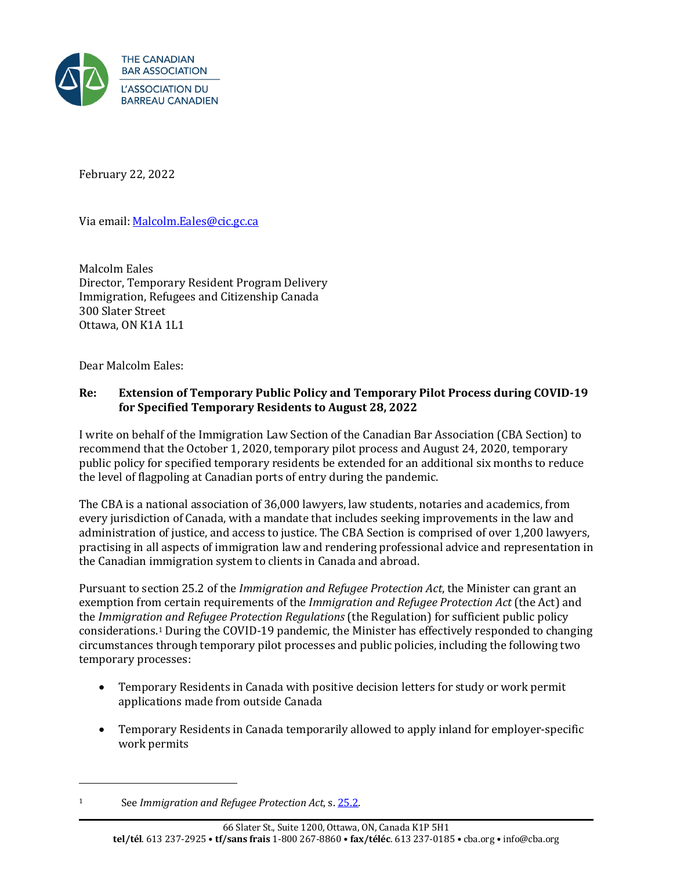

February 22, 2022

Via email: Malcolm.Eales@cic.gc.ca

Malcolm Eales Director, Temporary Resident Program Delivery Immigration, Refugees and Citizenship Canada 300 Slater Street Ottawa, ON K1A 1L1

Dear Malcolm Eales:

## **Re: Extension of Temporary Public Policy and Temporary Pilot Process during COVID-19 for Specified Temporary Residents to August 28, 2022**

I write on behalf of the Immigration Law Section of the Canadian Bar Association (CBA Section) to recommend that the October 1, 2020, temporary pilot process and August 24, 2020, temporary public policy for specified temporary residents be extended for an additional six months to reduce the level of flagpoling at Canadian ports of entry during the pandemic.

The CBA is a national association of 36,000 lawyers, law students, notaries and academics, from every jurisdiction of Canada, with a mandate that includes seeking improvements in the law and administration of justice, and access to justice. The CBA Section is comprised of over 1,200 lawyers, practising in all aspects of immigration law and rendering professional advice and representation in the Canadian immigration system to clients in Canada and abroad.

Pursuant to section 25.2 of the *Immigration and Refugee Protection Act*, the Minister can grant an exemption from certain requirements of the *Immigration and Refugee Protection Act* (the Act) and the *Immigration and Refugee Protection Regulations* (the Regulation) for sufficient public policy considerations.1 During the COVID-19 pandemic, the Minister has effectively responded to changing circumstances through temporary pilot processes and public policies, including the following two temporary processes:

- Temporary Residents in Canada with positive decision letters for study or work permit applications made from outside Canada
- Temporary Residents in Canada temporarily allowed to apply inland for employer-specific work permits

<sup>1</sup> See *Immigration and Refugee Protection Act*, s[. 25.2.](https://laws-lois.justice.gc.ca/eng/acts/i-2.5/page-4.html#h-274473)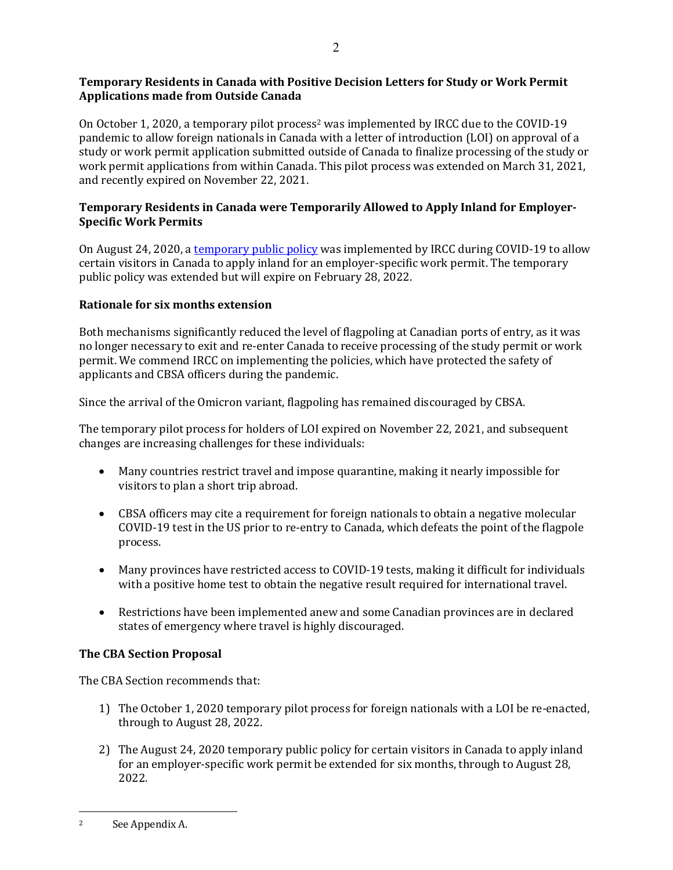# **Temporary Residents in Canada with Positive Decision Letters for Study or Work Permit Applications made from Outside Canada**

On October 1, 2020, a temporary pilot process<sup>2</sup> was implemented by IRCC due to the COVID-19 pandemic to allow foreign nationals in Canada with a letter of introduction (LOI) on approval of a study or work permit application submitted outside of Canada to finalize processing of the study or work permit applications from within Canada. This pilot process was extended on March 31, 2021, and recently expired on November 22, 2021.

## **Temporary Residents in Canada were Temporarily Allowed to Apply Inland for Employer-Specific Work Permits**

On August 24, 2020, a [temporary public](https://www.canada.ca/en/immigration-refugees-citizenship/corporate/publications-manuals/operational-bulletins-manuals/service-delivery/coronavirus/temporary-residence/work-permit/visitor-work-permits.html) policy was implemented by IRCC during COVID-19 to allow certain visitors in Canada to apply inland for an employer-specific work permit. The temporary public policy was extended but will expire on February 28, 2022.

## **Rationale for six months extension**

Both mechanisms significantly reduced the level of flagpoling at Canadian ports of entry, as it was no longer necessary to exit and re-enter Canada to receive processing of the study permit or work permit. We commend IRCC on implementing the policies, which have protected the safety of applicants and CBSA officers during the pandemic.

Since the arrival of the Omicron variant, flagpoling has remained discouraged by CBSA.

The temporary pilot process for holders of LOI expired on November 22, 2021, and subsequent changes are increasing challenges for these individuals:

- Many countries restrict travel and impose quarantine, making it nearly impossible for visitors to plan a short trip abroad.
- CBSA officers may cite a requirement for foreign nationals to obtain a negative molecular COVID-19 test in the US prior to re-entry to Canada, which defeats the point of the flagpole process.
- Many provinces have restricted access to COVID-19 tests, making it difficult for individuals with a positive home test to obtain the negative result required for international travel.
- Restrictions have been implemented anew and some Canadian provinces are in declared states of emergency where travel is highly discouraged.

## **The CBA Section Proposal**

The CBA Section recommends that:

- 1) The October 1, 2020 temporary pilot process for foreign nationals with a LOI be re-enacted, through to August 28, 2022.
- 2) The August 24, 2020 temporary public policy for certain visitors in Canada to apply inland for an employer-specific work permit be extended for six months, through to August 28, 2022.

<sup>2</sup> See Appendix A.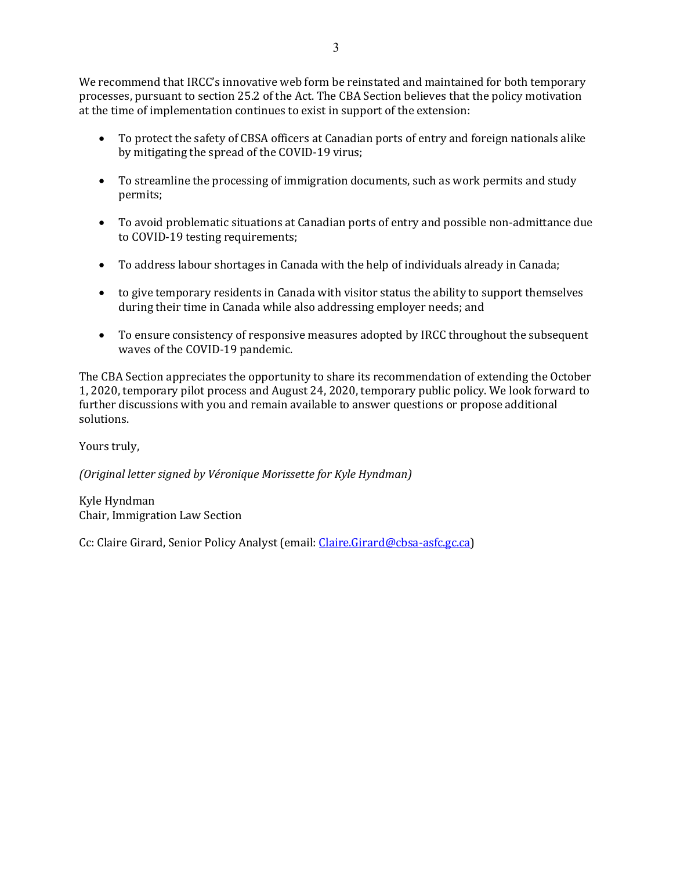We recommend that IRCC's innovative web form be reinstated and maintained for both temporary processes, pursuant to section 25.2 of the Act. The CBA Section believes that the policy motivation at the time of implementation continues to exist in support of the extension:

- To protect the safety of CBSA officers at Canadian ports of entry and foreign nationals alike by mitigating the spread of the COVID-19 virus;
- To streamline the processing of immigration documents, such as work permits and study permits;
- To avoid problematic situations at Canadian ports of entry and possible non-admittance due to COVID-19 testing requirements;
- To address labour shortages in Canada with the help of individuals already in Canada;
- to give temporary residents in Canada with visitor status the ability to support themselves during their time in Canada while also addressing employer needs; and
- To ensure consistency of responsive measures adopted by IRCC throughout the subsequent waves of the COVID-19 pandemic.

The CBA Section appreciates the opportunity to share its recommendation of extending the October 1, 2020, temporary pilot process and August 24, 2020, temporary public policy. We look forward to further discussions with you and remain available to answer questions or propose additional solutions.

Yours truly,

*(Original letter signed by Véronique Morissette for Kyle Hyndman)*

Kyle Hyndman Chair, Immigration Law Section

Cc: Claire Girard, Senior Policy Analyst (email[: Claire.Girard@cbsa-asfc.gc.ca\)](mailto:Claire.Girard@cbsa-asfc.gc.ca)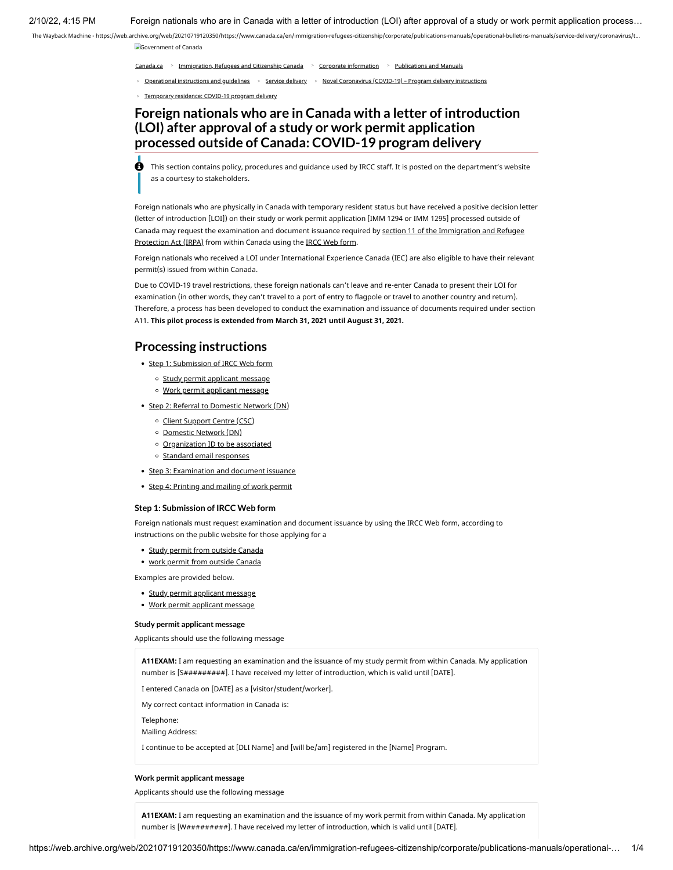2/10/22, 4:15 PM Foreign nationals who are in Canada with a letter of introduction (LOI) after approval of a study or work permit application process…

The Wayback Machine - [https://web.archive.org/web/20210719120350/https://www.canada.ca/en/immigration-refugees-citizenship/corporate/publications-manuals/operational-bulletins-manuals/service-delivery/coronavirus/t…](https://web.archive.org/web/20210719120350/https://www.canada.ca/en/immigration-refugees-citizenship/corporate/publications-manuals/operational-bulletins-manuals/service-delivery/coronavirus/t) [Government of Canada](https://web.archive.org/web/20210719120350/https://www.canada.ca/en.html)

[Canada.ca](https://web.archive.org/web/20210719120350/https://www.canada.ca/en.html) <sup>&</sup>gt; [Immigration, Refugees and Citizenship Canada](https://web.archive.org/web/20210719120350/https://www.canada.ca/en/immigration-refugees-citizenship.html) <sup>&</sup>gt; [Corporate information](https://web.archive.org/web/20210719120350/https://www.canada.ca/en/immigration-refugees-citizenship/corporate.html) <sup>&</sup>gt; [Publications and Manuals](https://web.archive.org/web/20210719120350/https://www.canada.ca/en/immigration-refugees-citizenship/corporate/publications-manuals.html)

<sup>&</sup>gt; [Operational instructions and guidelines](https://web.archive.org/web/20210719120350/https://www.canada.ca/en/immigration-refugees-citizenship/corporate/publications-manuals/operational-bulletins-manuals.html) <sup>&</sup>gt; [Service delivery](https://web.archive.org/web/20210719120350/https://www.canada.ca/en/immigration-refugees-citizenship/corporate/publications-manuals/operational-bulletins-manuals/service-delivery.html) <sup>&</sup>gt; [Novel Coronavirus \(COVID-19\) – Program delivery instructions](https://web.archive.org/web/20210719120350/https://www.canada.ca/en/immigration-refugees-citizenship/corporate/publications-manuals/operational-bulletins-manuals/service-delivery/coronavirus.html)

<sup>&</sup>gt; [Temporary residence: COVID-19 program delivery](https://web.archive.org/web/20210719120350/https://www.canada.ca/en/immigration-refugees-citizenship/corporate/publications-manuals/operational-bulletins-manuals/service-delivery/coronavirus/temporary-residence.html)

## **Foreign nationals who are in Canada with a letter of introduction (LOI) after approval of a study or work permit application processed outside of Canada: COVID-19 program delivery**

 This section contains policy, procedures and guidance used by IRCC staff. It is posted on the department's website as a courtesy to stakeholders.

Foreign nationals who are physically in Canada with temporary resident status but have received a positive decision letter (letter of introduction [LOI]) on their study or work permit application [IMM 1294 or IMM 1295] processed outside of [Canada may request the examination and document issuance required by section 11 of the Immigration and Refugee](https://web.archive.org/web/20210719120350/https://laws.justice.gc.ca/eng/acts/i-2.5/section-11.html) Protection Act (IRPA) from within Canada using the [IRCC Web form.](https://web.archive.org/web/20210719120350/https://www.cic.gc.ca/english/contacts/web-form.asp)

Foreign nationals who received a LOI under International Experience Canada (IEC) are also eligible to have their relevant permit(s) issued from within Canada.

Due to COVID-19 travel restrictions, these foreign nationals can't leave and re-enter Canada to present their LOI for examination (in other words, they can't travel to a port of entry to flagpole or travel to another country and return). Therefore, a process has been developed to conduct the examination and issuance of documents required under section A11. **This pilot process is extended from March 31, 2021 until August 31, 2021.**

## **Processing instructions**

• Step 1: Submission of IRCC Web form

- o Study permit applicant message
- Work permit applicant message
- Step 2: Referral to Domestic Network (DN)
	- o Client Support Centre (CSC)
	- Domestic Network (DN)
	- Organization ID to be associated
	- o Standard email responses
- Step 3: Examination and document issuance
- Step 4: Printing and mailing of work permit

#### **Step 1: Submission of IRCC Web form**

Foreign nationals must request examination and document issuance by using the IRCC Web form, according to instructions on the public website for those applying for a

- Study permit from outside Canada
- work permit from outside Canada

Examples are provided below.

- Study permit applicant message
- Work permit applicant message

#### **Study permit applicant message**

Applicants should use the following message

**A11EXAM:** I am requesting an examination and the issuance of my study permit from within Canada. My application number is [S##########]. I have received my letter of introduction, which is valid until [DATE].

I entered Canada on [DATE] as a [visitor/student/worker].

My correct contact information in Canada is:

Telephone:

Mailing Address:

I continue to be accepted at [DLI Name] and [will be/am] registered in the [Name] Program.

#### **Work permit applicant message**

Applicants should use the following message

**A11EXAM:** I am requesting an examination and the issuance of my work permit from within Canada. My application number is [W##########]. I have received my letter of introduction, which is valid until [DATE].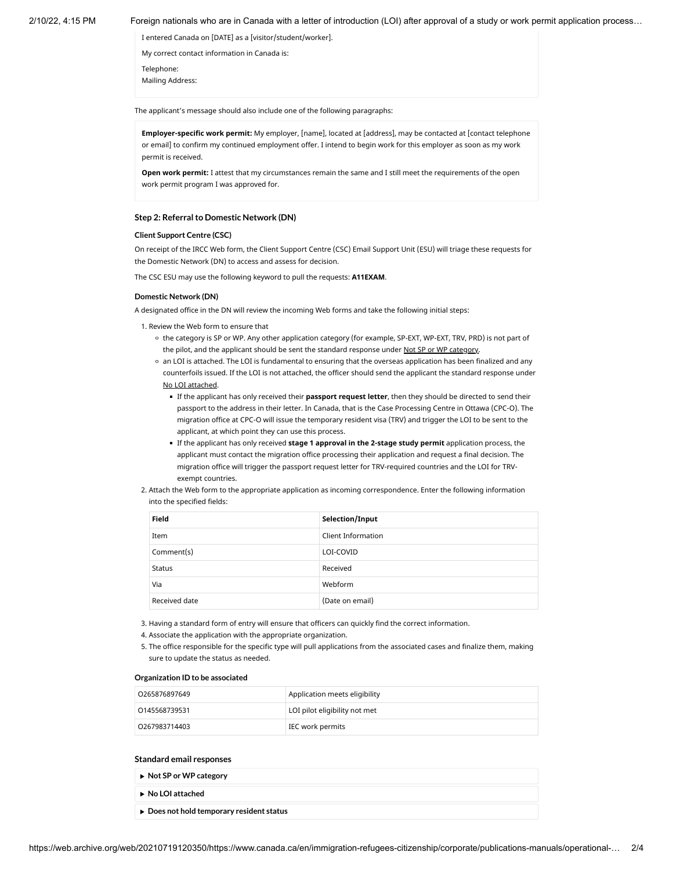#### 2/10/22, 4:15 PM Foreign nationals who are in Canada with a letter of introduction (LOI) after approval of a study or work permit application process…

I entered Canada on [DATE] as a [visitor/student/worker].

My correct contact information in Canada is:

Telephone: Mailing Address:

The applicant's message should also include one of the following paragraphs:

**Employer-specific work permit:** My employer, [name], located at [address], may be contacted at [contact telephone or email] to confirm my continued employment offer. I intend to begin work for this employer as soon as my work permit is received.

**Open work permit:** I attest that my circumstances remain the same and I still meet the requirements of the open work permit program I was approved for.

#### **Step 2: Referral to Domestic Network (DN)**

#### **Client Support Centre (CSC)**

On receipt of the IRCC Web form, the Client Support Centre (CSC) Email Support Unit (ESU) will triage these requests for the Domestic Network (DN) to access and assess for decision.

The CSC ESU may use the following keyword to pull the requests: **A11EXAM**.

#### **Domestic Network (DN)**

A designated office in the DN will review the incoming Web forms and take the following initial steps:

1. Review the Web form to ensure that

- the category is SP or WP. Any other application category (for example, SP-EXT, WP-EXT, TRV, PRD) is not part of the pilot, and the applicant should be sent the standard response under Not SP or WP category.
- an LOI is attached. The LOI is fundamental to ensuring that the overseas application has been finalized and any counterfoils issued. If the LOI is not attached, the officer should send the applicant the standard response under No LOI attached.
	- If the applicant has only received their **passport request letter**, then they should be directed to send their passport to the address in their letter. In Canada, that is the Case Processing Centre in Ottawa (CPC-O). The migration office at CPC-O will issue the temporary resident visa (TRV) and trigger the LOI to be sent to the applicant, at which point they can use this process.
	- If the applicant has only received **stage 1 approval in the 2-stage study permit** application process, the applicant must contact the migration office processing their application and request a final decision. The migration office will trigger the passport request letter for TRV-required countries and the LOI for TRVexempt countries.
- 2. Attach the Web form to the appropriate application as incoming correspondence. Enter the following information into the specified fields:

| <b>Field</b>  | Selection/Input           |
|---------------|---------------------------|
| Item          | <b>Client Information</b> |
| Comment(s)    | LOI-COVID                 |
| Status        | Received                  |
| Via           | Webform                   |
| Received date | (Date on email)           |

3. Having a standard form of entry will ensure that officers can quickly find the correct information.

- 4. Associate the application with the appropriate organization.
- 5. The office responsible for the specific type will pull applications from the associated cases and finalize them, making sure to update the status as needed.

#### **Organization ID to be associated**

| 0265876897649 | Application meets eligibility |
|---------------|-------------------------------|
| 0145568739531 | LOI pilot eligibility not met |
| 0267983714403 | IEC work permits              |

#### **Standard email responses**

- **Not SP or WP category**
- **No LOI attached**
- **Does not hold temporary resident status**